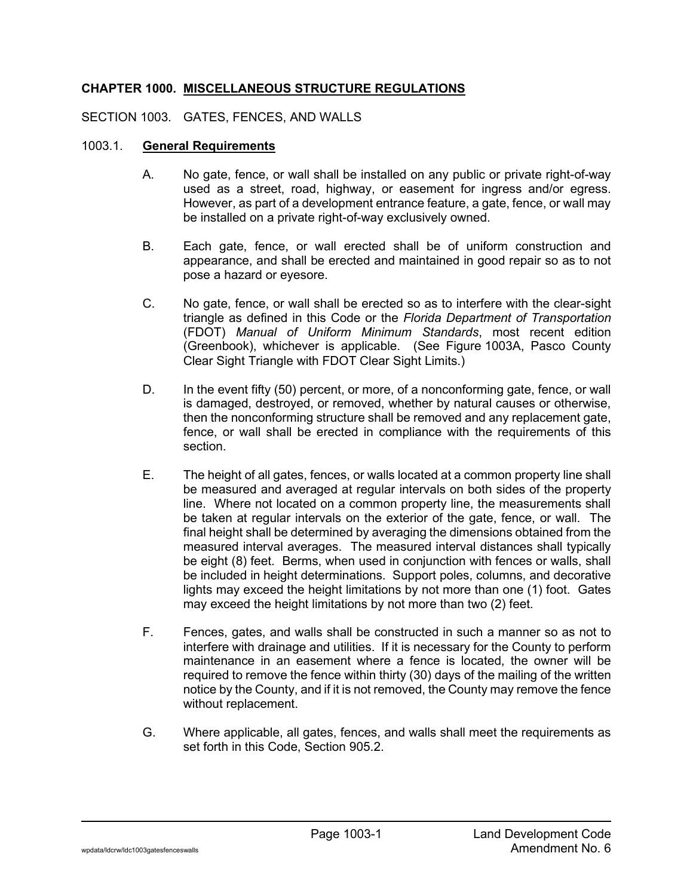# **CHAPTER 1000. MISCELLANEOUS STRUCTURE REGULATIONS**

### SECTION 1003. GATES, FENCES, AND WALLS

#### 1003.1. **General Requirements**

- A. No gate, fence, or wall shall be installed on any public or private right-of-way used as a street, road, highway, or easement for ingress and/or egress. However, as part of a development entrance feature, a gate, fence, or wall may be installed on a private right-of-way exclusively owned.
- B. Each gate, fence, or wall erected shall be of uniform construction and appearance, and shall be erected and maintained in good repair so as to not pose a hazard or eyesore.
- C. No gate, fence, or wall shall be erected so as to interfere with the clear-sight triangle as defined in this Code or the *Florida Department of Transportation* (FDOT) *Manual of Uniform Minimum Standards*, most recent edition (Greenbook), whichever is applicable. (See Figure 1003A, Pasco County Clear Sight Triangle with FDOT Clear Sight Limits.)
- D. In the event fifty (50) percent, or more, of a nonconforming gate, fence, or wall is damaged, destroyed, or removed, whether by natural causes or otherwise, then the nonconforming structure shall be removed and any replacement gate, fence, or wall shall be erected in compliance with the requirements of this section.
- E. The height of all gates, fences, or walls located at a common property line shall be measured and averaged at regular intervals on both sides of the property line. Where not located on a common property line, the measurements shall be taken at regular intervals on the exterior of the gate, fence, or wall. The final height shall be determined by averaging the dimensions obtained from the measured interval averages. The measured interval distances shall typically be eight (8) feet. Berms, when used in conjunction with fences or walls, shall be included in height determinations. Support poles, columns, and decorative lights may exceed the height limitations by not more than one (1) foot. Gates may exceed the height limitations by not more than two (2) feet.
- F. Fences, gates, and walls shall be constructed in such a manner so as not to interfere with drainage and utilities. If it is necessary for the County to perform maintenance in an easement where a fence is located, the owner will be required to remove the fence within thirty (30) days of the mailing of the written notice by the County, and if it is not removed, the County may remove the fence without replacement.
- G. Where applicable, all gates, fences, and walls shall meet the requirements as set forth in this Code, Section 905.2.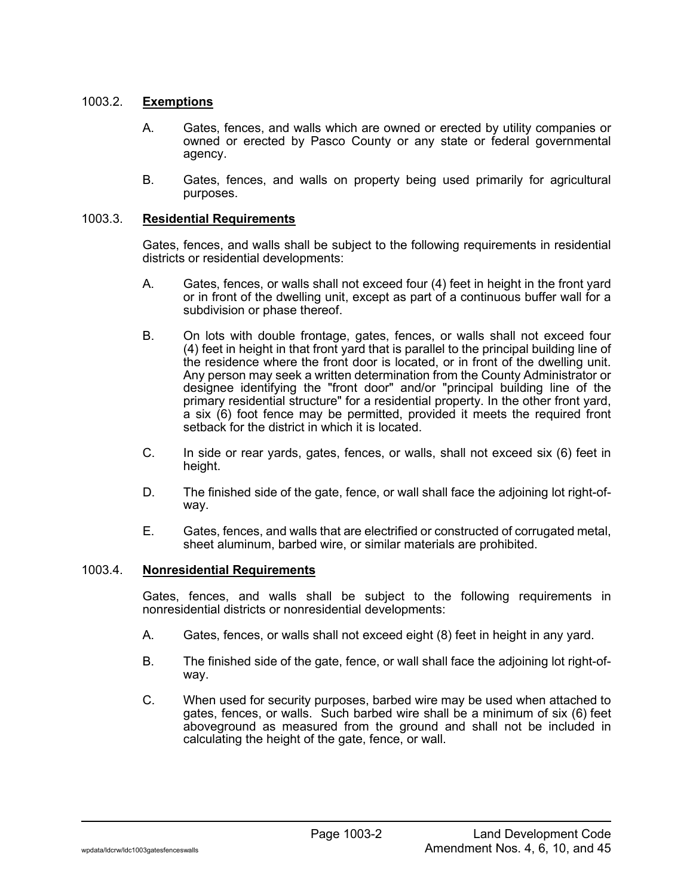### 1003.2. **Exemptions**

- A. Gates, fences, and walls which are owned or erected by utility companies or owned or erected by Pasco County or any state or federal governmental agency.
- B. Gates, fences, and walls on property being used primarily for agricultural purposes.

#### 1003.3. **Residential Requirements**

Gates, fences, and walls shall be subject to the following requirements in residential districts or residential developments:

- A. Gates, fences, or walls shall not exceed four (4) feet in height in the front yard or in front of the dwelling unit, except as part of a continuous buffer wall for a subdivision or phase thereof.
- B. On lots with double frontage, gates, fences, or walls shall not exceed four (4) feet in height in that front yard that is parallel to the principal building line of the residence where the front door is located, or in front of the dwelling unit. Any person may seek a written determination from the County Administrator or designee identifying the "front door" and/or "principal building line of the primary residential structure" for a residential property. In the other front yard, a six (6) foot fence may be permitted, provided it meets the required front setback for the district in which it is located.
- C. In side or rear yards, gates, fences, or walls, shall not exceed six (6) feet in height.
- D. The finished side of the gate, fence, or wall shall face the adjoining lot right-ofway.
- E. Gates, fences, and walls that are electrified or constructed of corrugated metal, sheet aluminum, barbed wire, or similar materials are prohibited.

#### 1003.4. **Nonresidential Requirements**

Gates, fences, and walls shall be subject to the following requirements in nonresidential districts or nonresidential developments:

- A. Gates, fences, or walls shall not exceed eight (8) feet in height in any yard.
- B. The finished side of the gate, fence, or wall shall face the adjoining lot right-ofway.
- C. When used for security purposes, barbed wire may be used when attached to gates, fences, or walls. Such barbed wire shall be a minimum of six (6) feet aboveground as measured from the ground and shall not be included in calculating the height of the gate, fence, or wall.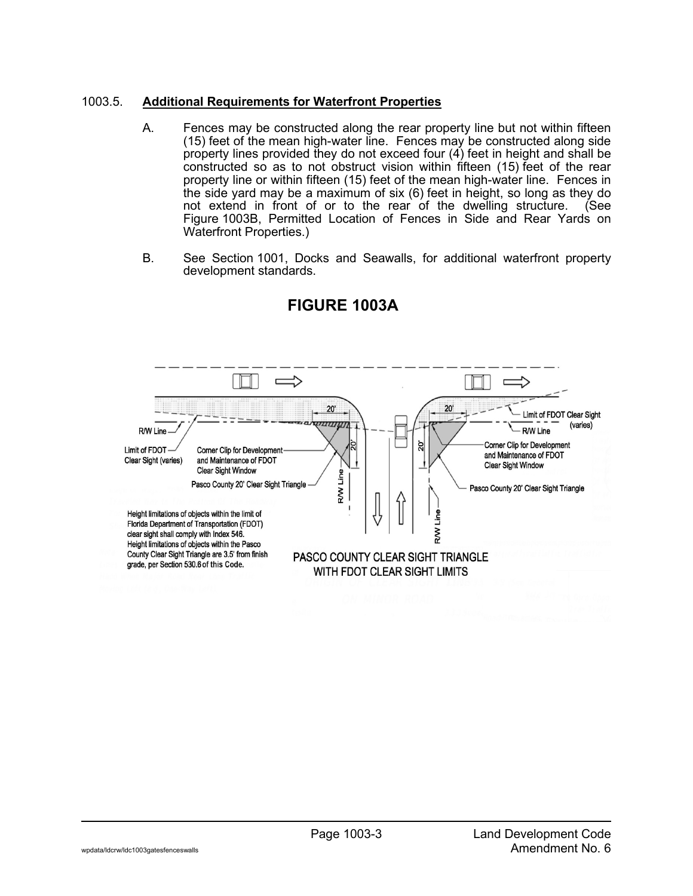## 1003.5. **Additional Requirements for Waterfront Properties**

- A. Fences may be constructed along the rear property line but not within fifteen (15) feet of the mean high-water line. Fences may be constructed along side property lines provided they do not exceed four (4) feet in height and shall be constructed so as to not obstruct vision within fifteen (15) feet of the rear property line or within fifteen (15) feet of the mean high-water line. Fences in the side yard may be a maximum of six (6) feet in height, so long as they do not extend in front of or to the rear of the dwelling structure. (See Figure 1003B, Permitted Location of Fences in Side and Rear Yards on Waterfront Properties.)
- B. See Section 1001, Docks and Seawalls, for additional waterfront property development standards.



# **FIGURE 1003A**